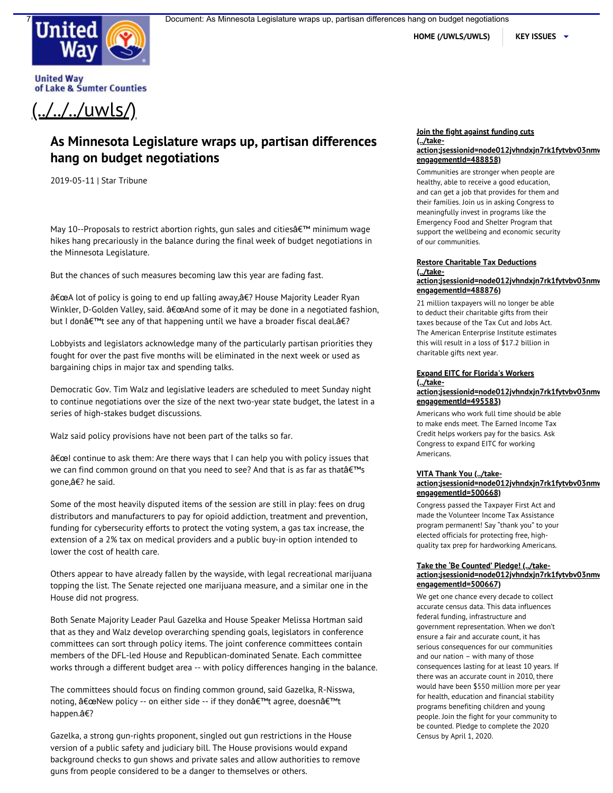

HOME (/UWLS/UWLS) | KEY ISSUES  $\rightarrow$ 

**United Way** of Lake & Sumter Counties

 $($ ../../ $/$ uwls/

# **As Minnesota Legislature wraps up, partisan differences hang on budget negotiations**

2019-05-11 | Star Tribune

May 10--Proposals to restrict abortion rights, gun sales and citiesâ€™ minimum wage hikes hang precariously in the balance during the final week of budget negotiations in the Minnesota Legislature.

But the chances of such measures becoming law this year are fading fast.

â€œA lot of policy is going to end up falling away,â€? House Majority Leader Ryan Winkler, D-Golden Valley, said. â€œAnd some of it may be done in a negotiated fashion, but I donâ€™t see any of that happening until we have a broader fiscal deal.â€?

Lobbyists and legislators acknowledge many of the particularly partisan priorities they fought for over the past five months will be eliminated in the next week or used as bargaining chips in major tax and spending talks.

Democratic Gov. Tim Walz and legislative leaders are scheduled to meet Sunday night to continue negotiations over the size of the next two-year state budget, the latest in a series of high-stakes budget discussions.

Walz said policy provisions have not been part of the talks so far.

â€œI continue to ask them: Are there ways that I can help you with policy issues that we can find common ground on that you need to see? And that is as far as thatâ€™s gone,â€? he said.

Some of the most heavily disputed items of the session are still in play: fees on drug distributors and manufacturers to pay for opioid addiction, treatment and prevention, funding for cybersecurity efforts to protect the voting system, a gas tax increase, the extension of a 2% tax on medical providers and a public buy-in option intended to lower the cost of health care.

Others appear to have already fallen by the wayside, with legal recreational marijuana topping the list. The Senate rejected one marijuana measure, and a similar one in the House did not progress.

Both Senate Majority Leader Paul Gazelka and House Speaker Melissa Hortman said that as they and Walz develop overarching spending goals, legislators in conference committees can sort through policy items. The joint conference committees contain members of the DFL-led House and Republican-dominated Senate. Each committee works through a different budget area -- with policy differences hanging in the balance.

The committees should focus on finding common ground, said Gazelka, R-Nisswa, noting, â€œNew policy -- on either side -- if they donâ€™t agree, doesnâ€™t happen.â€?

guns from people considered to be a danger to themselves or others. Gazelka, a strong gun-rights proponent, singled out gun restrictions in the House version of a public safety and judiciary bill. The House provisions would expand background checks to gun shows and private sales and allow authorities to remove

#### **Join the fight against funding cuts (../take[action;jsessionid=node012jvhndxjn7rk1fytvbv03nmw](http://cqrcengage.com/uwls/app/take-action;jsessionid=node012jvhndxjn7rk1fytvbv03nmwq4225817.node0?engagementId=488858) engagementId=488858)**

Communities are stronger when people are healthy, able to receive a good education, and can get a job that provides for them and their families. Join us in asking Congress to meaningfully invest in programs like the Emergency Food and Shelter Program that support the wellbeing and economic security of our communities.

### **Restore Charitable Tax Deductions (../take[action;jsessionid=node012jvhndxjn7rk1fytvbv03nmw](http://cqrcengage.com/uwls/app/take-action;jsessionid=node012jvhndxjn7rk1fytvbv03nmwq4225817.node0?engagementId=488876) engagementId=488876)**

21 million taxpayers will no longer be able to deduct their charitable gifts from their taxes because of the Tax Cut and Jobs Act. The American Enterprise Institute estimates this will result in a loss of \$17.2 billion in charitable gifts next year.

## **Expand EITC for Florida's Workers (../take-**

## **[action;jsessionid=node012jvhndxjn7rk1fytvbv03nmw](http://cqrcengage.com/uwls/app/take-action;jsessionid=node012jvhndxjn7rk1fytvbv03nmwq4225817.node0?engagementId=495583) engagementId=495583)**

Americans who work full time should be able to make ends meet. The Earned Income Tax Credit helps workers pay for the basics. Ask Congress to expand EITC for working Americans.

## **VITA Thank You (../take[action;jsessionid=node012jvhndxjn7rk1fytvbv03nmw](http://cqrcengage.com/uwls/app/take-action;jsessionid=node012jvhndxjn7rk1fytvbv03nmwq4225817.node0?engagementId=500668) engagementId=500668)**

Congress passed the Taxpayer First Act and made the Volunteer Income Tax Assistance program permanent! Say "thank you" to your elected officials for protecting free, highquality tax prep for hardworking Americans.

## **Take the 'Be Counted' Pledge! (../take[action;jsessionid=node012jvhndxjn7rk1fytvbv03nmw](http://cqrcengage.com/uwls/app/take-action;jsessionid=node012jvhndxjn7rk1fytvbv03nmwq4225817.node0?engagementId=500667) engagementId=500667)**

We get one chance every decade to collect accurate census data. This data influences federal funding, infrastructure and government representation. When we don't ensure a fair and accurate count, it has serious consequences for our communities and our nation – with many of those consequences lasting for at least 10 years. If there was an accurate count in 2010, there would have been \$550 million more per year for health, education and financial stability programs benefiting children and young people. Join the fight for your community to be counted. Pledge to complete the 2020 Census by April 1, 2020.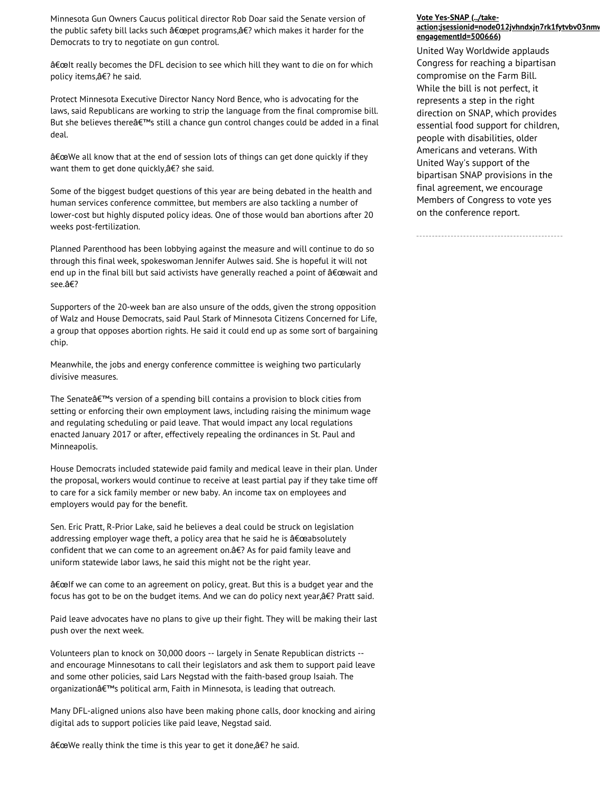Minnesota Gun Owners Caucus political director Rob Doar said the Senate version of the State of the Senate Contabi the public safety bill lacks such â€œpet programs,â€? which makes it harder for the Democrats to try to negotiate on gun control.

â€œIt really becomes the DFL decision to see which hill they want to die on for which policy items,â€? he said.

Protect Minnesota Executive Director Nancy Nord Bence, who is advocating for the laws, said Republicans are working to strip the language from the final compromise bill. But she believes thereâ€™s still a chance gun control changes could be added in a final deal.

â€œWe all know that at the end of session lots of things can get done quickly if they want them to get done quickly,â€? she said.

Some of the biggest budget questions of this year are being debated in the health and human services conference committee, but members are also tackling a number of lower-cost but highly disputed policy ideas. One of those would ban abortions after 20 weeks post-fertilization.

Planned Parenthood has been lobbying against the measure and will continue to do so through this final week, spokeswoman Jennifer Aulwes said. She is hopeful it will not end up in the final bill but said activists have generally reached a point of â€œwait and see.â€?

Supporters of the 20-week ban are also unsure of the odds, given the strong opposition of Walz and House Democrats, said Paul Stark of Minnesota Citizens Concerned for Life, a group that opposes abortion rights. He said it could end up as some sort of bargaining chip.

Meanwhile, the jobs and energy conference committee is weighing two particularly divisive measures.

The Senateâ€™s version of a spending bill contains a provision to block cities from setting or enforcing their own employment laws, including raising the minimum wage and regulating scheduling or paid leave. That would impact any local regulations enacted January 2017 or after, effectively repealing the ordinances in St. Paul and Minneapolis.

House Democrats included statewide paid family and medical leave in their plan. Under the proposal, workers would continue to receive at least partial pay if they take time off to care for a sick family member or new baby. An income tax on employees and employers would pay for the benefit.

Sen. Eric Pratt, R-Prior Lake, said he believes a deal could be struck on legislation addressing employer wage theft, a policy area that he said he is â€œabsolutely confident that we can come to an agreement on.â€? As for paid family leave and uniform statewide labor laws, he said this might not be the right year.

â€œIf we can come to an agreement on policy, great. But this is a budget year and the focus has got to be on the budget items. And we can do policy next year,â€? Pratt said.

Paid leave advocates have no plans to give up their fight. They will be making their last push over the next week.

Volunteers plan to knock on 30,000 doors -- largely in Senate Republican districts - and encourage Minnesotans to call their legislators and ask them to support paid leave and some other policies, said Lars Negstad with the faith-based group Isaiah. The organizationâ€™s political arm, Faith in Minnesota, is leading that outreach.

Many DFL-aligned unions also have been making phone calls, door knocking and airing digital ads to support policies like paid leave, Negstad said.

â€œWe really think the time is this year to get it done,â€? he said.

### **Vote Yes-SNAP (../take[action;jsessionid=node012jvhndxjn7rk1fytvbv03nmw](http://cqrcengage.com/uwls/app/take-action;jsessionid=node012jvhndxjn7rk1fytvbv03nmwq4225817.node0?engagementId=500666) engagementId=500666)**

United Way Worldwide applauds Congress for reaching a bipartisan compromise on the Farm Bill. While the bill is not perfect, it represents a step in the right direction on SNAP, which provides essential food support for children, people with disabilities, older Americans and veterans. With United Way's support of the bipartisan SNAP provisions in the final agreement, we encourage Members of Congress to vote yes on the conference report.